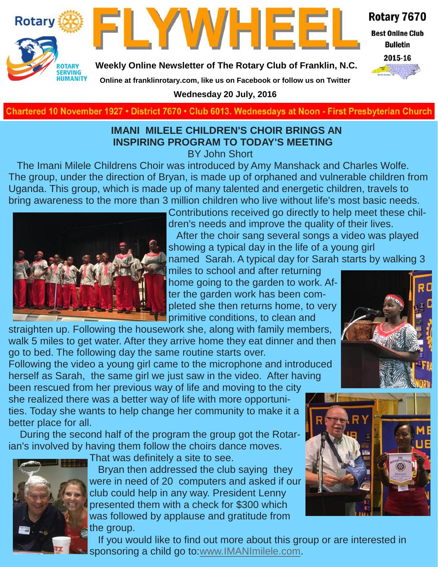



Rotary 7670

**Best Online Club Bulletin** 

2015-16

**Weekly Online Newsletter of The Rotary Club of Franklin, N.C.**

**Online at franklinrotary.com, like us on Facebook or follow us on Twitter**

**Wednesday 20 July, 2016**

**Charted November 29, 1927 • District 7670 • Club 6013 Wednesdays at Noon - First Presbyterian Church**

#### **IMANI MILELE CHILDREN'S CHOIR BRINGS AN INSPIRING PROGRAM TO TODAY'S MEETING**

BY John Short

 The Imani Milele Childrens Choir was introduced by Amy Manshack and Charles Wolfe. The group, under the direction of Bryan, is made up of orphaned and vulnerable children from Uganda. This group, which is made up of many talented and energetic children, travels to bring awareness to the more than 3 million children who live without life's most basic needs.



Contributions received go directly to help meet these children's needs and improve the quality of their lives. After the choir sang several songs a video was played showing a typical day in the life of a young girl named Sarah. A typical day for Sarah starts by walking 3

miles to school and after returning home going to the garden to work. After the garden work has been completed she then returns home, to very primitive conditions, to clean and

straighten up. Following the housework she, along with family members, walk 5 miles to get water. After they arrive home they eat dinner and then go to bed. The following day the same routine starts over.

Following the video a young girl came to the microphone and introduced herself as Sarah, the same girl we just saw in the video. After having been rescued from her previous way of life and moving to the city

she realized there was a better way of life with more opportunities. Today she wants to help change her community to make it a better place for all.

 During the second half of the program the group got the Rotarian's involved by having them follow the choirs dance moves.



That was definitely a site to see.

 Bryan then addressed the club saying they were in need of 20 computers and asked if our club could help in any way. President Lenny presented them with a check for \$300 which was followed by applause and gratitude from the group.



 If you would like to find out more about this group or are interested in sponsoring a child go to[:www.IMANImilele.com.](http://www.imanimilele.com/)

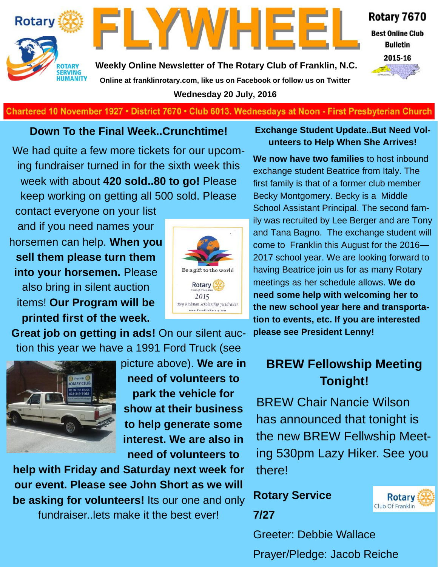



Rotary 7670

**Best Online Club Bulletin** 



**Weekly Online Newsletter of The Rotary Club of Franklin, N.C. Online at franklinrotary.com, like us on Facebook or follow us on Twitter Wednesday 20 July, 2016**

**Charted November 29, 1927 • District 7670 • Club 6013 Wednesdays at Noon - First Presbyterian Church**

#### **Down To the Final Week..Crunchtime!**

We had quite a few more tickets for our upcoming fundraiser turned in for the sixth week this week with about **420 sold..80 to go!** Please keep working on getting all 500 sold. Please

contact everyone on your list and if you need names your horsemen can help. **When you sell them please turn them into your horsemen.** Please also bring in silent auction items! **Our Program will be printed first of the week.** 



**Great job on getting in ads!** On our silent auction this year we have a 1991 Ford Truck (see



picture above). **We are in need of volunteers to park the vehicle for show at their business to help generate some interest. We are also in need of volunteers to** 

**help with Friday and Saturday next week for our event. Please see John Short as we will be asking for volunteers!** Its our one and only fundraiser..lets make it the best ever!

#### **Exchange Student Update..But Need Volunteers to Help When She Arrives!**

**We now have two families** to host inbound exchange student Beatrice from Italy. The first family is that of a former club member Becky Montgomery. Becky is a Middle School Assistant Principal. The second family was recruited by Lee Berger and are Tony and Tana Bagno. The exchange student will come to Franklin this August for the 2016— 2017 school year. We are looking forward to having Beatrice join us for as many Rotary meetings as her schedule allows. **We do need some help with welcoming her to the new school year here and transportation to events, etc. If you are interested please see President Lenny!** 

### **BREW Fellowship Meeting Tonight!**

BREW Chair Nancie Wilson has announced that tonight is the new BREW Fellwship Meeting 530pm Lazy Hiker. See you there!

## **Rotary Service 7/27**



Greeter: Debbie Wallace Prayer/Pledge: Jacob Reiche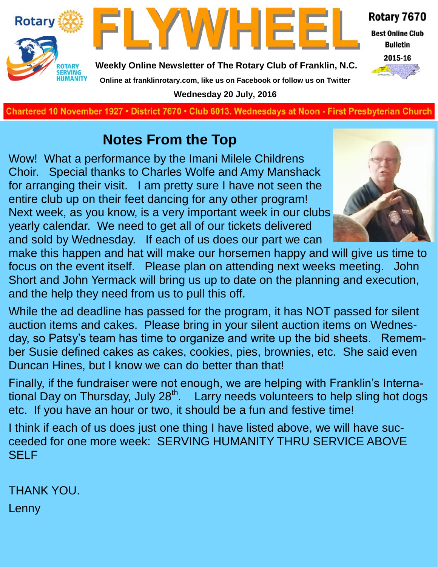



Rotary 7670 **Best Online Club Bulletin** 

2015-16

**Weekly Online Newsletter of The Rotary Club of Franklin, N.C. Online at franklinrotary.com, like us on Facebook or follow us on Twitter**

**Wednesday 20 July, 2016**

**Charted November 29, 1927 • District 7670 • Club 6013 Wednesdays at Noon - First Presbyterian Church**

## **Notes From the Top**

Wow! What a performance by the Imani Milele Childrens Choir. Special thanks to Charles Wolfe and Amy Manshack for arranging their visit. I am pretty sure I have not seen the entire club up on their feet dancing for any other program! Next week, as you know, is a very important week in our clubs yearly calendar. We need to get all of our tickets delivered and sold by Wednesday. If each of us does our part we can



make this happen and hat will make our horsemen happy and will give us time to focus on the event itself. Please plan on attending next weeks meeting. John Short and John Yermack will bring us up to date on the planning and execution, and the help they need from us to pull this off.

While the ad deadline has passed for the program, it has NOT passed for silent auction items and cakes. Please bring in your silent auction items on Wednesday, so Patsy's team has time to organize and write up the bid sheets. Remember Susie defined cakes as cakes, cookies, pies, brownies, etc. She said even Duncan Hines, but I know we can do better than that!

Finally, if the fundraiser were not enough, we are helping with Franklin's International Day on Thursday, July 28<sup>th</sup>. Larry needs volunteers to help sling hot dogs etc. If you have an hour or two, it should be a fun and festive time!

I think if each of us does just one thing I have listed above, we will have succeeded for one more week: SERVING HUMANITY THRU SERVICE ABOVE **SELF** 

THANK YOU.

Lenny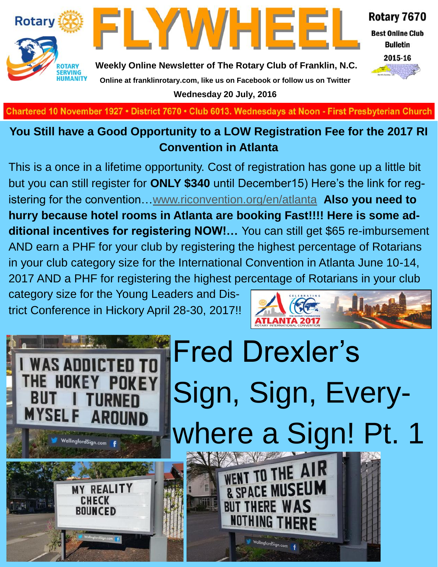



Rotary 7670

**Best Online Club Bulletin** 



**Weekly Online Newsletter of The Rotary Club of Franklin, N.C. Online at franklinrotary.com, like us on Facebook or follow us on Twitter Wednesday 20 July, 2016**

**Charted November 29, 1927 • District 7670 • Club 6013 Wednesdays at Noon - First Presbyterian Church**

#### **You Still have a Good Opportunity to a LOW Registration Fee for the 2017 RI Convention in Atlanta**

This is a once in a lifetime opportunity. Cost of registration has gone up a little bit but you can still register for **ONLY \$340** until December15) Here's the link for registering for the convention…[www.riconvention.org/en/atlanta](http://www.riconvention.org/en/atlanta) **Also you need to hurry because hotel rooms in Atlanta are booking Fast!!!! Here is some additional incentives for registering NOW!…** You can still get \$65 re-imbursement AND earn a PHF for your club by registering the highest percentage of Rotarians in your club category size for the International Convention in Atlanta June 10-14, 2017 AND a PHF for registering the highest percentage of Rotarians in your club

category size for the Young Leaders and District Conference in Hickory April 28-30, 2017!!